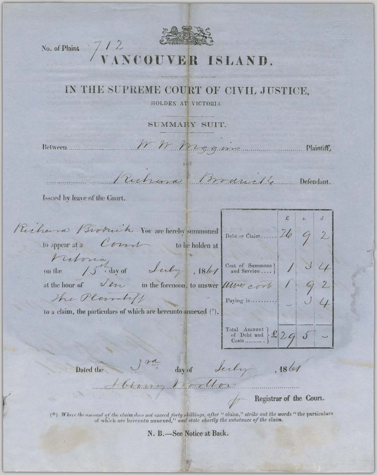

## No. of Plaint 7/2<br>VANCOUVER ISLAND.

## IN THE SUPREME COURT OF CIVIL JUSTICE.

HOLDEN AT VICTORIA.

SUMMARY SUIT.

Between.......

W. Wiggins

Plaintiff,

Ruchard Branche Defendant.

Issued by leave of the Court.

| Richard Broduit Vou archereby summoned petition chain 126 9 2<br>to appear at a $\mathcal{C}$ on the holden at                                             |                                                                                                                                                                                                                                  |  |  |
|------------------------------------------------------------------------------------------------------------------------------------------------------------|----------------------------------------------------------------------------------------------------------------------------------------------------------------------------------------------------------------------------------|--|--|
| Victoria<br>on the 15 day of Luly , 1861 Cost of Summons ] 1 3 4                                                                                           |                                                                                                                                                                                                                                  |  |  |
| at the hour of $\sqrt{\ell\gamma}$ in the forenoon, to answer $\ell\ell\ell\nu\ell\nu\ell$ and $\ell \leq 0$<br>The Plantiff<br>$\boxed{\text{Paying in}}$ |                                                                                                                                                                                                                                  |  |  |
| to a claim, the particulars of which are hereunto annexed $(*)$ .                                                                                          | $\left.\begin{array}{l}\n\text{Total Amount} \\ \text{of Debt and} \\ \text{Costs.} \\ \text{}\n\end{array}\right\} \mathcal{L} \left[2q\right] \left.\begin{array}{l}\n\mathcal{S} \\ \end{array}\right] \qquad \qquad \text{}$ |  |  |
|                                                                                                                                                            |                                                                                                                                                                                                                                  |  |  |

Dated the

Son day of July 1861

Registrar of the Court.

(\*) Where the amount of the claim does not exceed forty shillings, after "claim," strike out the words "the particulars of which are hereunto annexed," and state shortly the substance of the claim.

N. B.-See Notice at Back.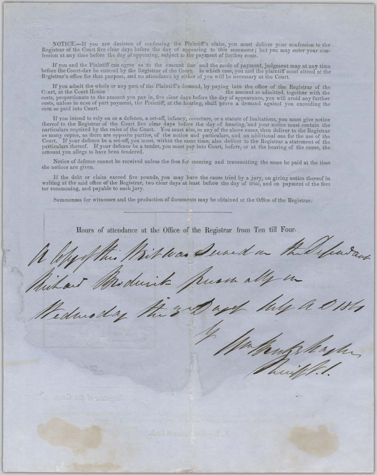NOTICE.-If you are desirous of confessing the Plaintiff's claim, you must deliver your confession to the Registrar of the Court five clear days before the day of appearing to this summons; but you may enter your confession at any time before the day of appearing, subject to the payment of further costs.

If you and the Plaintiff can agree as to the amount due and the mode of payment, judgment may at any time before the Court-day be entered by the Registrar of the Court. In which case, you and the plaintiff must attend at the Registrar's office for that purpose, and no attendance by either of you will be necessary at the Court.

If you admit the whole or any part of the Plaintiff's demand, by paying into the office of the Registrar of the Court, at the Court House the amount so admitted, together with the costs, proportionate to the amount you pay in, five clear days before the day of appearance, you will avoid any further costs, unless in case of part payment, the Plaintiff, at the hearing, shall prove a demand against you exceeding the sum so paid into Court.

If you intend to rely on as a defence, a set-off, infancy, coverture, or a statute of limitations, you must give notice thereof to the Registrar of the Court five clear days before the day of hearing, and your notice must contain the particulars required by the rules of the Court. You must also, in any of the above cases, then deliver to th Court. If your defence be a set-off, you must, within the same time, also deliver to the Registrar a statement of the particulars thereof. If your defence be a tender, you must pay into Court, before, or at the hearing of the cause, the amount you allege to have been tendered.

Notice of defence cannot be received unless the fees for entering and transmitting the same be paid at the time the notices are given.

If the debt or claim exceed five pounds, you may have the cause tried by a jury, on giving notice thereof in writing at the said office of the Registrar, two clear days at least before the day of trial, and on payment of the fees tor summoning, and payable to such jury.

Summonses for witnesses and the production of documents may be obtained at the Office of the Registrar.

Hours of attendance at the Office of the Registrar from Ten till Four. ras Derned en hadaug dur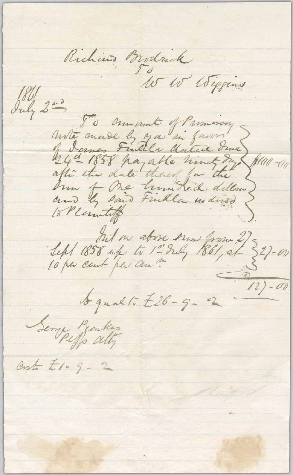Richard Brodrick July 200 Io annomat of Parmesson mite made ly you in farm I dames Fulle dated due fraa-an hum of One hundred dellars) Ann ty said Finkla mained 15 Pleasantiff Sept 1858 up to 1-2 du 1861, 21-20 Seny Peaker Costo £1. 9 - 2